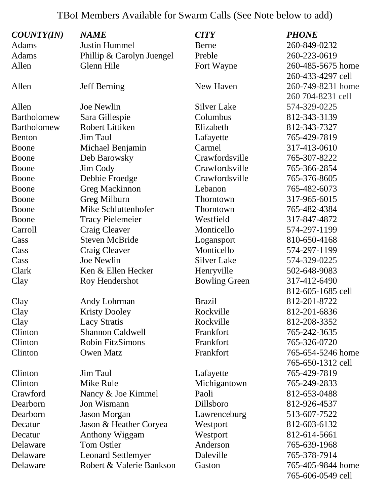## TBoI Members Available for Swarm Calls (See Note below to add)

| <b>COUNTY(IN)</b> | <b>NAME</b>               | <b>CITY</b>          | <b>PHONE</b>      |
|-------------------|---------------------------|----------------------|-------------------|
| Adams             | <b>Justin Hummel</b>      | Berne                | 260-849-0232      |
| Adams             | Phillip & Carolyn Juengel | Preble               | 260-223-0619      |
| Allen             | Glenn Hile                | Fort Wayne           | 260-485-5675 home |
|                   |                           |                      | 260-433-4297 cell |
| Allen             | <b>Jeff Berning</b>       | New Haven            | 260-749-8231 home |
|                   |                           |                      | 260 704-8231 cell |
| Allen             | <b>Joe Newlin</b>         | <b>Silver Lake</b>   | 574-329-0225      |
| Bartholomew       | Sara Gillespie            | Columbus             | 812-343-3139      |
| Bartholomew       | Robert Littiken           | Elizabeth            | 812-343-7327      |
| <b>Benton</b>     | Jim Taul                  | Lafayette            | 765-429-7819      |
| Boone             | Michael Benjamin          | Carmel               | 317-413-0610      |
| Boone             | Deb Barowsky              | Crawfordsville       | 765-307-8222      |
| Boone             | Jim Cody                  | Crawfordsville       | 765-366-2854      |
| Boone             | Debbie Froedge            | Crawfordsville       | 765-376-8605      |
| Boone             | <b>Greg Mackinnon</b>     | Lebanon              | 765-482-6073      |
| Boone             | Greg Milburn              | Thorntown            | 317-965-6015      |
| Boone             | Mike Schluttenhofer       | Thorntown            | 765-482-4384      |
| Boone             | <b>Tracy Pielemeier</b>   | Westfield            | 317-847-4872      |
| Carroll           | Craig Cleaver             | Monticello           | 574-297-1199      |
| Cass              | <b>Steven McBride</b>     | Logansport           | 810-650-4168      |
| Cass              | Craig Cleaver             | Monticello           | 574-297-1199      |
| Cass              | Joe Newlin                | <b>Silver Lake</b>   | 574-329-0225      |
| Clark             | Ken & Ellen Hecker        | Henryville           | 502-648-9083      |
| Clay              | Roy Hendershot            | <b>Bowling Green</b> | 317-412-6490      |
|                   |                           |                      | 812-605-1685 cell |
| Clay              | Andy Lohrman              | <b>Brazil</b>        | 812-201-8722      |
| Clay              | <b>Kristy Dooley</b>      | Rockville            | 812-201-6836      |
| Clay              | <b>Lacy Stratis</b>       | Rockville            | 812-208-3352      |
| Clinton           | <b>Shannon Caldwell</b>   | Frankfort            | 765-242-3635      |
| Clinton           | <b>Robin FitzSimons</b>   | Frankfort            | 765-326-0720      |
| Clinton           | <b>Owen Matz</b>          | Frankfort            | 765-654-5246 home |
|                   |                           |                      | 765-650-1312 cell |
| Clinton           | Jim Taul                  | Lafayette            | 765-429-7819      |
| Clinton           | Mike Rule                 | Michigantown         | 765-249-2833      |
| Crawford          | Nancy & Joe Kimmel        | Paoli                | 812-653-0488      |
| Dearborn          | Jon Wismann               | Dillsboro            | 812-926-4537      |
| Dearborn          | <b>Jason Morgan</b>       | Lawrenceburg         | 513-607-7522      |
| Decatur           | Jason & Heather Coryea    | Westport             | 812-603-6132      |
| Decatur           | <b>Anthony Wiggam</b>     | Westport             | 812-614-5661      |
| Delaware          | <b>Tom Ostler</b>         | Anderson             | 765-639-1968      |
| Delaware          | <b>Leonard Settlemyer</b> | Daleville            | 765-378-7914      |
| Delaware          | Robert & Valerie Bankson  | Gaston               | 765-405-9844 home |
|                   |                           |                      | 765-606-0549 cell |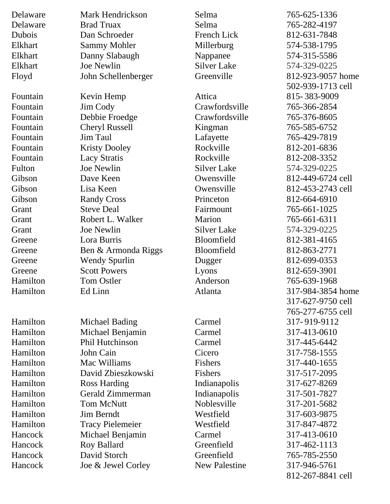| Delaware | Mark Hendrickson        | Selma                | 765-625-1336      |
|----------|-------------------------|----------------------|-------------------|
| Delaware | <b>Brad Truax</b>       | Selma                | 765-282-4197      |
| Dubois   | Dan Schroeder           | <b>French Lick</b>   | 812-631-7848      |
| Elkhart  | <b>Sammy Mohler</b>     | Millerburg           | 574-538-1795      |
| Elkhart  | Danny Slabaugh          | Nappanee             | 574-315-5586      |
| Elkhart  | <b>Joe Newlin</b>       | <b>Silver Lake</b>   | 574-329-0225      |
| Floyd    | John Schellenberger     | Greenville           | 812-923-9057 home |
|          |                         |                      | 502-939-1713 cell |
| Fountain | Kevin Hemp              | Attica               | 815-383-9009      |
| Fountain | Jim Cody                | Crawfordsville       | 765-366-2854      |
| Fountain | Debbie Froedge          | Crawfordsville       | 765-376-8605      |
| Fountain | Cheryl Russell          | Kingman              | 765-585-6752      |
| Fountain | Jim Taul                | Lafayette            | 765-429-7819      |
| Fountain | <b>Kristy Dooley</b>    | Rockville            | 812-201-6836      |
| Fountain | <b>Lacy Stratis</b>     | Rockville            | 812-208-3352      |
| Fulton   | Joe Newlin              | <b>Silver Lake</b>   | 574-329-0225      |
| Gibson   | Dave Keen               | Owensville           | 812-449-6724 cell |
| Gibson   | Lisa Keen               | Owensville           | 812-453-2743 cell |
| Gibson   | <b>Randy Cross</b>      | Princeton            | 812-664-6910      |
| Grant    | <b>Steve Deal</b>       | Fairmount            | 765-661-1025      |
| Grant    | Robert L. Walker        | Marion               | 765-661-6311      |
| Grant    | Joe Newlin              | <b>Silver Lake</b>   | 574-329-0225      |
| Greene   | Lora Burris             | Bloomfield           | 812-381-4165      |
| Greene   | Ben & Armonda Riggs     | Bloomfield           | 812-863-2771      |
| Greene   | <b>Wendy Spurlin</b>    | Dugger               | 812-699-0353      |
| Greene   | <b>Scott Powers</b>     | Lyons                | 812-659-3901      |
| Hamilton | <b>Tom Ostler</b>       | Anderson             | 765-639-1968      |
| Hamilton | Ed Linn                 | Atlanta              | 317-984-3854 home |
|          |                         |                      | 317-627-9750 cell |
|          |                         |                      | 765-277-6755 cell |
| Hamilton | Michael Bading          | Carmel               | 317-919-9112      |
| Hamilton | Michael Benjamin        | Carmel               | 317-413-0610      |
| Hamilton | <b>Phil Hutchinson</b>  | Carmel               | 317-445-6442      |
| Hamilton | John Cain               | Cicero               | 317-758-1555      |
| Hamilton | Mac Williams            | Fishers              | 317-440-1655      |
| Hamilton | David Zbieszkowski      | <b>Fishers</b>       | 317-517-2095      |
| Hamilton | Ross Harding            | Indianapolis         | 317-627-8269      |
| Hamilton | Gerald Zimmerman        | Indianapolis         | 317-501-7827      |
| Hamilton | <b>Tom McNutt</b>       | Noblesville          | 317-201-5682      |
| Hamilton | Jim Berndt              | Westfield            | 317-603-9875      |
| Hamilton | <b>Tracy Pielemeier</b> | Westfield            | 317-847-4872      |
| Hancock  | Michael Benjamin        | Carmel               | 317-413-0610      |
| Hancock  | Roy Ballard             | Greenfield           | 317-462-1113      |
| Hancock  | David Storch            | Greenfield           | 765-785-2550      |
| Hancock  | Joe & Jewel Corley      | <b>New Palestine</b> | 317-946-5761      |
|          |                         |                      | 812-267-8841 cell |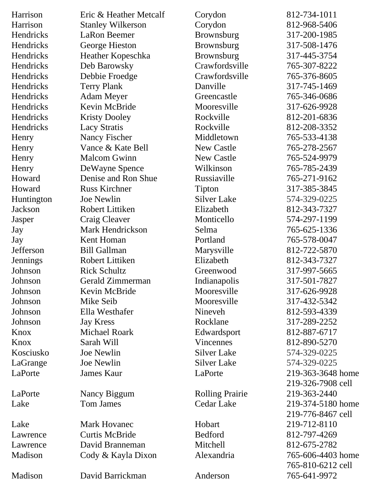| Harrison   | Eric & Heather Metcalf   | Corydon                | 812-734-1011      |
|------------|--------------------------|------------------------|-------------------|
| Harrison   | <b>Stanley Wilkerson</b> | Corydon                | 812-968-5406      |
| Hendricks  | LaRon Beemer             | Brownsburg             | 317-200-1985      |
| Hendricks  | George Hieston           | Brownsburg             | 317-508-1476      |
| Hendricks  | Heather Kopeschka        | Brownsburg             | 317-445-3754      |
| Hendricks  | Deb Barowsky             | Crawfordsville         | 765-307-8222      |
| Hendricks  | Debbie Froedge           | Crawfordsville         | 765-376-8605      |
| Hendricks  | <b>Terry Plank</b>       | Danville               | 317-745-1469      |
| Hendricks  | <b>Adam Meyer</b>        | Greencastle            | 765-346-0686      |
| Hendricks  | Kevin McBride            | Mooresville            | 317-626-9928      |
| Hendricks  | <b>Kristy Dooley</b>     | Rockville              | 812-201-6836      |
| Hendricks  | <b>Lacy Stratis</b>      | Rockville              | 812-208-3352      |
| Henry      | Nancy Fischer            | Middletown             | 765-533-4138      |
| Henry      | Vance & Kate Bell        | <b>New Castle</b>      | 765-278-2567      |
| Henry      | <b>Malcom Gwinn</b>      | <b>New Castle</b>      | 765-524-9979      |
| Henry      | DeWayne Spence           | Wilkinson              | 765-785-2439      |
| Howard     | Denise and Ron Shue      | Russiaville            | 765-271-9162      |
| Howard     | <b>Russ Kirchner</b>     | Tipton                 | 317-385-3845      |
| Huntington | Joe Newlin               | <b>Silver Lake</b>     | 574-329-0225      |
| Jackson    | Robert Littiken          | Elizabeth              | 812-343-7327      |
| Jasper     | Craig Cleaver            | Monticello             | 574-297-1199      |
| Jay        | Mark Hendrickson         | Selma                  | 765-625-1336      |
| Jay        | Kent Homan               | Portland               | 765-578-0047      |
| Jefferson  | <b>Bill Gallman</b>      | Marysville             | 812-722-5870      |
| Jennings   | Robert Littiken          | Elizabeth              | 812-343-7327      |
| Johnson    | <b>Rick Schultz</b>      | Greenwood              | 317-997-5665      |
| Johnson    | Gerald Zimmerman         | Indianapolis           | 317-501-7827      |
| Johnson    | Kevin McBride            | Mooresville            | 317-626-9928      |
| Johnson    | Mike Seib                | Mooresville            | 317-432-5342      |
| Johnson    | Ella Westhafer           | Nineveh                | 812-593-4339      |
| Johnson    | <b>Jay Kress</b>         | Rocklane               | 317-289-2252      |
| Knox       | <b>Michael Roark</b>     | Edwardsport            | 812-887-6717      |
| Knox       | Sarah Will               | Vincennes              | 812-890-5270      |
| Kosciusko  | Joe Newlin               | <b>Silver Lake</b>     | 574-329-0225      |
| LaGrange   | <b>Joe Newlin</b>        | <b>Silver Lake</b>     | 574-329-0225      |
| LaPorte    | <b>James Kaur</b>        | LaPorte                | 219-363-3648 home |
|            |                          |                        | 219-326-7908 cell |
| LaPorte    | Nancy Biggum             | <b>Rolling Prairie</b> | 219-363-2440      |
| Lake       | <b>Tom James</b>         | Cedar Lake             | 219-374-5180 home |
|            |                          |                        | 219-776-8467 cell |
| Lake       | <b>Mark Hovanec</b>      | Hobart                 | 219-712-8110      |
| Lawrence   | <b>Curtis McBride</b>    | <b>Bedford</b>         | 812-797-4269      |
| Lawrence   | David Branneman          | Mitchell               | 812-675-2782      |
| Madison    | Cody & Kayla Dixon       | Alexandria             | 765-606-4403 home |
|            |                          |                        | 765-810-6212 cell |
| Madison    | David Barrickman         | Anderson               | 765-641-9972      |
|            |                          |                        |                   |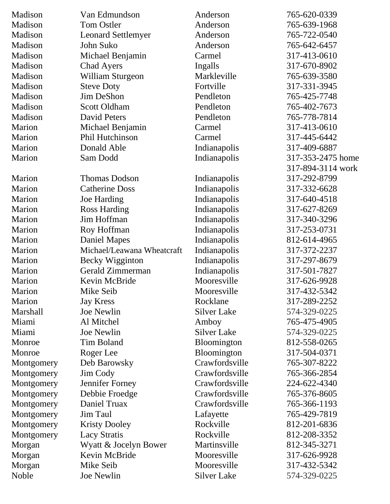| Madison         | Van Edmundson              | Anderson           | 765-620-0339      |
|-----------------|----------------------------|--------------------|-------------------|
| Madison         | Tom Ostler                 | Anderson           | 765-639-1968      |
| Madison         | <b>Leonard Settlemyer</b>  | Anderson           | 765-722-0540      |
| Madison         | John Suko                  | Anderson           | 765-642-6457      |
| Madison         | Michael Benjamin           | Carmel             | 317-413-0610      |
| Madison         | <b>Chad Ayers</b>          | Ingalls            | 317-670-8902      |
| Madison         | <b>William Sturgeon</b>    | Markleville        | 765-639-3580      |
| Madison         | <b>Steve Doty</b>          | Fortville          | 317-331-3945      |
| Madison         | Jim DeShon                 | Pendleton          | 765-425-7748      |
| Madison         | Scott Oldham               | Pendleton          | 765-402-7673      |
| Madison         | <b>David Peters</b>        | Pendleton          | 765-778-7814      |
| Marion          | Michael Benjamin           | Carmel             | 317-413-0610      |
| Marion          | Phil Hutchinson            | Carmel             | 317-445-6442      |
| Marion          | Donald Able                | Indianapolis       | 317-409-6887      |
| Marion          | Sam Dodd                   | Indianapolis       | 317-353-2475 home |
|                 |                            |                    | 317-894-3114 work |
| Marion          | <b>Thomas Dodson</b>       | Indianapolis       | 317-292-8799      |
| Marion          | <b>Catherine Doss</b>      | Indianapolis       | 317-332-6628      |
| Marion          | Joe Harding                | Indianapolis       | 317-640-4518      |
| Marion          | <b>Ross Harding</b>        | Indianapolis       | 317-627-8269      |
| Marion          | Jim Hoffman                | Indianapolis       | 317-340-3296      |
| Marion          | Roy Hoffman                | Indianapolis       | 317-253-0731      |
| Marion          | <b>Daniel Mapes</b>        | Indianapolis       | 812-614-4965      |
| Marion          | Michael/Leawana Wheatcraft | Indianapolis       | 317-372-2237      |
| Marion          | Becky Wigginton            | Indianapolis       | 317-297-8679      |
| Marion          | Gerald Zimmerman           | Indianapolis       | 317-501-7827      |
| Marion          | Kevin McBride              | Mooresville        | 317-626-9928      |
| Marion          | Mike Seib                  | Mooresville        | 317-432-5342      |
| Marion          | <b>Jay Kress</b>           | Rocklane           | 317-289-2252      |
| <b>Marshall</b> | <b>Joe Newlin</b>          | <b>Silver Lake</b> | 574-329-0225      |
| Miami           | Al Mitchel                 | Amboy              | 765-475-4905      |
| Miami           | Joe Newlin                 | <b>Silver Lake</b> | 574-329-0225      |
| Monroe          | <b>Tim Boland</b>          | Bloomington        | 812-558-0265      |
| Monroe          | Roger Lee                  | Bloomington        | 317-504-0371      |
| Montgomery      | Deb Barowsky               | Crawfordsville     | 765-307-8222      |
| Montgomery      | Jim Cody                   | Crawfordsville     | 765-366-2854      |
| Montgomery      | Jennifer Forney            | Crawfordsville     | 224-622-4340      |
| Montgomery      | Debbie Froedge             | Crawfordsville     | 765-376-8605      |
| Montgomery      | Daniel Truax               | Crawfordsville     | 765-366-1193      |
| Montgomery      | Jim Taul                   | Lafayette          | 765-429-7819      |
| Montgomery      | <b>Kristy Dooley</b>       | Rockville          | 812-201-6836      |
| Montgomery      | <b>Lacy Stratis</b>        | Rockville          | 812-208-3352      |
| Morgan          | Wyatt & Jocelyn Bower      | Martinsville       | 812-345-3271      |
| Morgan          | Kevin McBride              | Mooresville        | 317-626-9928      |
| Morgan          | Mike Seib                  | Mooresville        | 317-432-5342      |
| Noble           | Joe Newlin                 | <b>Silver Lake</b> | 574-329-0225      |
|                 |                            |                    |                   |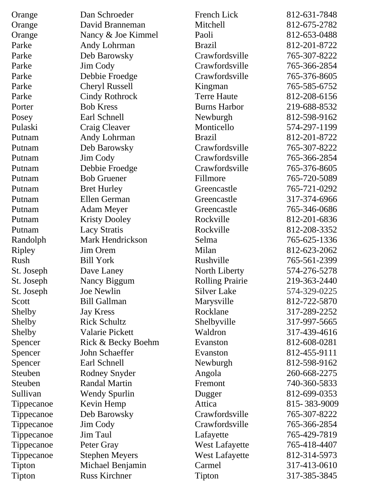| David Branneman<br>Mitchell<br>812-675-2782<br>Nancy & Joe Kimmel<br>812-653-0488<br>Paoli<br>812-201-8722<br>Andy Lohrman<br><b>Brazil</b><br>Crawfordsville<br>Deb Barowsky<br>765-307-8222<br>Crawfordsville<br>Jim Cody<br>765-366-2854<br>Debbie Froedge<br>Crawfordsville<br>765-376-8605<br><b>Cheryl Russell</b><br>765-585-6752<br>Kingman<br><b>Terre Haute</b><br><b>Cindy Rothrock</b><br>812-208-6156<br><b>Bob Kress</b><br><b>Burns Harbor</b><br>219-688-8532<br>Earl Schnell<br>Newburgh<br>812-598-9162<br>Craig Cleaver<br>Monticello<br>574-297-1199<br>Andy Lohrman<br><b>Brazil</b><br>812-201-8722<br>Crawfordsville<br>Deb Barowsky<br>765-307-8222<br>Crawfordsville<br>Jim Cody<br>765-366-2854<br>Crawfordsville<br>Debbie Froedge<br>765-376-8605<br><b>Bob Gruener</b><br>Fillmore<br>765-720-5089<br><b>Bret Hurley</b><br>765-721-0292<br>Greencastle<br><b>Ellen German</b><br>317-374-6966<br>Greencastle<br><b>Adam Meyer</b><br>765-346-0686<br>Greencastle<br><b>Kristy Dooley</b><br>Rockville<br>812-201-6836<br><b>Lacy Stratis</b><br>Rockville<br>812-208-3352<br>Putnam<br>Mark Hendrickson<br>Selma<br>765-625-1336<br>Randolph<br>Ripley<br>Jim Orem<br>Milan<br>812-623-2062<br>Rushville<br><b>Bill York</b><br>765-561-2399<br>574-276-5278<br>St. Joseph<br>Dave Laney<br>North Liberty<br><b>Rolling Prairie</b><br>Nancy Biggum<br>St. Joseph<br>219-363-2440<br><b>Silver Lake</b><br>St. Joseph<br>Joe Newlin<br>574-329-0225<br><b>Bill Gallman</b><br>812-722-5870<br>Scott<br>Marysville<br>317-289-2252<br>Shelby<br><b>Jay Kress</b><br>Rocklane<br><b>Rick Schultz</b><br>Shelbyville<br>317-997-5665<br>Shelby<br>Valarie Pickett<br>Waldron<br>317-439-4616<br>Shelby<br>Rick & Becky Boehm<br>812-608-0281<br>Spencer<br>Evanston<br>John Schaeffer<br>812-455-9111<br>Evanston<br>Spencer<br>Spencer<br>Earl Schnell<br>Newburgh<br>812-598-9162<br>Steuben<br>Rodney Snyder<br>260-668-2275<br>Angola<br><b>Randal Martin</b><br>740-360-5833<br>Steuben<br>Fremont<br>Sullivan<br><b>Wendy Spurlin</b><br>812-699-0353<br>Dugger<br>Kevin Hemp<br>Attica<br>815-383-9009<br>Tippecanoe<br>Deb Barowsky<br>Crawfordsville<br>765-307-8222<br>Tippecanoe<br>Crawfordsville<br>Jim Cody<br>765-366-2854<br>Tippecanoe<br>Jim Taul<br>Lafayette<br>765-429-7819<br>Tippecanoe<br>765-418-4407<br>Peter Gray<br><b>West Lafayette</b><br>Tippecanoe<br><b>Stephen Meyers</b><br><b>West Lafayette</b><br>812-314-5973<br>Tippecanoe<br>Carmel<br>317-413-0610<br>Tipton<br>Michael Benjamin | Orange  | Dan Schroeder        | French Lick | 812-631-7848 |
|--------------------------------------------------------------------------------------------------------------------------------------------------------------------------------------------------------------------------------------------------------------------------------------------------------------------------------------------------------------------------------------------------------------------------------------------------------------------------------------------------------------------------------------------------------------------------------------------------------------------------------------------------------------------------------------------------------------------------------------------------------------------------------------------------------------------------------------------------------------------------------------------------------------------------------------------------------------------------------------------------------------------------------------------------------------------------------------------------------------------------------------------------------------------------------------------------------------------------------------------------------------------------------------------------------------------------------------------------------------------------------------------------------------------------------------------------------------------------------------------------------------------------------------------------------------------------------------------------------------------------------------------------------------------------------------------------------------------------------------------------------------------------------------------------------------------------------------------------------------------------------------------------------------------------------------------------------------------------------------------------------------------------------------------------------------------------------------------------------------------------------------------------------------------------------------------------------------------------------------------------------------------------------------------------------------------------------------------------------------------------------------------------------------------------------------------------------------------------------------------------------------------------------------------------------|---------|----------------------|-------------|--------------|
|                                                                                                                                                                                                                                                                                                                                                                                                                                                                                                                                                                                                                                                                                                                                                                                                                                                                                                                                                                                                                                                                                                                                                                                                                                                                                                                                                                                                                                                                                                                                                                                                                                                                                                                                                                                                                                                                                                                                                                                                                                                                                                                                                                                                                                                                                                                                                                                                                                                                                                                                                        | Orange  |                      |             |              |
|                                                                                                                                                                                                                                                                                                                                                                                                                                                                                                                                                                                                                                                                                                                                                                                                                                                                                                                                                                                                                                                                                                                                                                                                                                                                                                                                                                                                                                                                                                                                                                                                                                                                                                                                                                                                                                                                                                                                                                                                                                                                                                                                                                                                                                                                                                                                                                                                                                                                                                                                                        | Orange  |                      |             |              |
|                                                                                                                                                                                                                                                                                                                                                                                                                                                                                                                                                                                                                                                                                                                                                                                                                                                                                                                                                                                                                                                                                                                                                                                                                                                                                                                                                                                                                                                                                                                                                                                                                                                                                                                                                                                                                                                                                                                                                                                                                                                                                                                                                                                                                                                                                                                                                                                                                                                                                                                                                        | Parke   |                      |             |              |
|                                                                                                                                                                                                                                                                                                                                                                                                                                                                                                                                                                                                                                                                                                                                                                                                                                                                                                                                                                                                                                                                                                                                                                                                                                                                                                                                                                                                                                                                                                                                                                                                                                                                                                                                                                                                                                                                                                                                                                                                                                                                                                                                                                                                                                                                                                                                                                                                                                                                                                                                                        | Parke   |                      |             |              |
|                                                                                                                                                                                                                                                                                                                                                                                                                                                                                                                                                                                                                                                                                                                                                                                                                                                                                                                                                                                                                                                                                                                                                                                                                                                                                                                                                                                                                                                                                                                                                                                                                                                                                                                                                                                                                                                                                                                                                                                                                                                                                                                                                                                                                                                                                                                                                                                                                                                                                                                                                        | Parke   |                      |             |              |
|                                                                                                                                                                                                                                                                                                                                                                                                                                                                                                                                                                                                                                                                                                                                                                                                                                                                                                                                                                                                                                                                                                                                                                                                                                                                                                                                                                                                                                                                                                                                                                                                                                                                                                                                                                                                                                                                                                                                                                                                                                                                                                                                                                                                                                                                                                                                                                                                                                                                                                                                                        | Parke   |                      |             |              |
|                                                                                                                                                                                                                                                                                                                                                                                                                                                                                                                                                                                                                                                                                                                                                                                                                                                                                                                                                                                                                                                                                                                                                                                                                                                                                                                                                                                                                                                                                                                                                                                                                                                                                                                                                                                                                                                                                                                                                                                                                                                                                                                                                                                                                                                                                                                                                                                                                                                                                                                                                        | Parke   |                      |             |              |
|                                                                                                                                                                                                                                                                                                                                                                                                                                                                                                                                                                                                                                                                                                                                                                                                                                                                                                                                                                                                                                                                                                                                                                                                                                                                                                                                                                                                                                                                                                                                                                                                                                                                                                                                                                                                                                                                                                                                                                                                                                                                                                                                                                                                                                                                                                                                                                                                                                                                                                                                                        | Parke   |                      |             |              |
|                                                                                                                                                                                                                                                                                                                                                                                                                                                                                                                                                                                                                                                                                                                                                                                                                                                                                                                                                                                                                                                                                                                                                                                                                                                                                                                                                                                                                                                                                                                                                                                                                                                                                                                                                                                                                                                                                                                                                                                                                                                                                                                                                                                                                                                                                                                                                                                                                                                                                                                                                        | Porter  |                      |             |              |
|                                                                                                                                                                                                                                                                                                                                                                                                                                                                                                                                                                                                                                                                                                                                                                                                                                                                                                                                                                                                                                                                                                                                                                                                                                                                                                                                                                                                                                                                                                                                                                                                                                                                                                                                                                                                                                                                                                                                                                                                                                                                                                                                                                                                                                                                                                                                                                                                                                                                                                                                                        | Posey   |                      |             |              |
|                                                                                                                                                                                                                                                                                                                                                                                                                                                                                                                                                                                                                                                                                                                                                                                                                                                                                                                                                                                                                                                                                                                                                                                                                                                                                                                                                                                                                                                                                                                                                                                                                                                                                                                                                                                                                                                                                                                                                                                                                                                                                                                                                                                                                                                                                                                                                                                                                                                                                                                                                        | Pulaski |                      |             |              |
|                                                                                                                                                                                                                                                                                                                                                                                                                                                                                                                                                                                                                                                                                                                                                                                                                                                                                                                                                                                                                                                                                                                                                                                                                                                                                                                                                                                                                                                                                                                                                                                                                                                                                                                                                                                                                                                                                                                                                                                                                                                                                                                                                                                                                                                                                                                                                                                                                                                                                                                                                        | Putnam  |                      |             |              |
|                                                                                                                                                                                                                                                                                                                                                                                                                                                                                                                                                                                                                                                                                                                                                                                                                                                                                                                                                                                                                                                                                                                                                                                                                                                                                                                                                                                                                                                                                                                                                                                                                                                                                                                                                                                                                                                                                                                                                                                                                                                                                                                                                                                                                                                                                                                                                                                                                                                                                                                                                        | Putnam  |                      |             |              |
|                                                                                                                                                                                                                                                                                                                                                                                                                                                                                                                                                                                                                                                                                                                                                                                                                                                                                                                                                                                                                                                                                                                                                                                                                                                                                                                                                                                                                                                                                                                                                                                                                                                                                                                                                                                                                                                                                                                                                                                                                                                                                                                                                                                                                                                                                                                                                                                                                                                                                                                                                        | Putnam  |                      |             |              |
|                                                                                                                                                                                                                                                                                                                                                                                                                                                                                                                                                                                                                                                                                                                                                                                                                                                                                                                                                                                                                                                                                                                                                                                                                                                                                                                                                                                                                                                                                                                                                                                                                                                                                                                                                                                                                                                                                                                                                                                                                                                                                                                                                                                                                                                                                                                                                                                                                                                                                                                                                        | Putnam  |                      |             |              |
|                                                                                                                                                                                                                                                                                                                                                                                                                                                                                                                                                                                                                                                                                                                                                                                                                                                                                                                                                                                                                                                                                                                                                                                                                                                                                                                                                                                                                                                                                                                                                                                                                                                                                                                                                                                                                                                                                                                                                                                                                                                                                                                                                                                                                                                                                                                                                                                                                                                                                                                                                        | Putnam  |                      |             |              |
|                                                                                                                                                                                                                                                                                                                                                                                                                                                                                                                                                                                                                                                                                                                                                                                                                                                                                                                                                                                                                                                                                                                                                                                                                                                                                                                                                                                                                                                                                                                                                                                                                                                                                                                                                                                                                                                                                                                                                                                                                                                                                                                                                                                                                                                                                                                                                                                                                                                                                                                                                        | Putnam  |                      |             |              |
|                                                                                                                                                                                                                                                                                                                                                                                                                                                                                                                                                                                                                                                                                                                                                                                                                                                                                                                                                                                                                                                                                                                                                                                                                                                                                                                                                                                                                                                                                                                                                                                                                                                                                                                                                                                                                                                                                                                                                                                                                                                                                                                                                                                                                                                                                                                                                                                                                                                                                                                                                        | Putnam  |                      |             |              |
|                                                                                                                                                                                                                                                                                                                                                                                                                                                                                                                                                                                                                                                                                                                                                                                                                                                                                                                                                                                                                                                                                                                                                                                                                                                                                                                                                                                                                                                                                                                                                                                                                                                                                                                                                                                                                                                                                                                                                                                                                                                                                                                                                                                                                                                                                                                                                                                                                                                                                                                                                        | Putnam  |                      |             |              |
|                                                                                                                                                                                                                                                                                                                                                                                                                                                                                                                                                                                                                                                                                                                                                                                                                                                                                                                                                                                                                                                                                                                                                                                                                                                                                                                                                                                                                                                                                                                                                                                                                                                                                                                                                                                                                                                                                                                                                                                                                                                                                                                                                                                                                                                                                                                                                                                                                                                                                                                                                        | Putnam  |                      |             |              |
|                                                                                                                                                                                                                                                                                                                                                                                                                                                                                                                                                                                                                                                                                                                                                                                                                                                                                                                                                                                                                                                                                                                                                                                                                                                                                                                                                                                                                                                                                                                                                                                                                                                                                                                                                                                                                                                                                                                                                                                                                                                                                                                                                                                                                                                                                                                                                                                                                                                                                                                                                        |         |                      |             |              |
|                                                                                                                                                                                                                                                                                                                                                                                                                                                                                                                                                                                                                                                                                                                                                                                                                                                                                                                                                                                                                                                                                                                                                                                                                                                                                                                                                                                                                                                                                                                                                                                                                                                                                                                                                                                                                                                                                                                                                                                                                                                                                                                                                                                                                                                                                                                                                                                                                                                                                                                                                        |         |                      |             |              |
|                                                                                                                                                                                                                                                                                                                                                                                                                                                                                                                                                                                                                                                                                                                                                                                                                                                                                                                                                                                                                                                                                                                                                                                                                                                                                                                                                                                                                                                                                                                                                                                                                                                                                                                                                                                                                                                                                                                                                                                                                                                                                                                                                                                                                                                                                                                                                                                                                                                                                                                                                        |         |                      |             |              |
|                                                                                                                                                                                                                                                                                                                                                                                                                                                                                                                                                                                                                                                                                                                                                                                                                                                                                                                                                                                                                                                                                                                                                                                                                                                                                                                                                                                                                                                                                                                                                                                                                                                                                                                                                                                                                                                                                                                                                                                                                                                                                                                                                                                                                                                                                                                                                                                                                                                                                                                                                        | Rush    |                      |             |              |
|                                                                                                                                                                                                                                                                                                                                                                                                                                                                                                                                                                                                                                                                                                                                                                                                                                                                                                                                                                                                                                                                                                                                                                                                                                                                                                                                                                                                                                                                                                                                                                                                                                                                                                                                                                                                                                                                                                                                                                                                                                                                                                                                                                                                                                                                                                                                                                                                                                                                                                                                                        |         |                      |             |              |
|                                                                                                                                                                                                                                                                                                                                                                                                                                                                                                                                                                                                                                                                                                                                                                                                                                                                                                                                                                                                                                                                                                                                                                                                                                                                                                                                                                                                                                                                                                                                                                                                                                                                                                                                                                                                                                                                                                                                                                                                                                                                                                                                                                                                                                                                                                                                                                                                                                                                                                                                                        |         |                      |             |              |
|                                                                                                                                                                                                                                                                                                                                                                                                                                                                                                                                                                                                                                                                                                                                                                                                                                                                                                                                                                                                                                                                                                                                                                                                                                                                                                                                                                                                                                                                                                                                                                                                                                                                                                                                                                                                                                                                                                                                                                                                                                                                                                                                                                                                                                                                                                                                                                                                                                                                                                                                                        |         |                      |             |              |
|                                                                                                                                                                                                                                                                                                                                                                                                                                                                                                                                                                                                                                                                                                                                                                                                                                                                                                                                                                                                                                                                                                                                                                                                                                                                                                                                                                                                                                                                                                                                                                                                                                                                                                                                                                                                                                                                                                                                                                                                                                                                                                                                                                                                                                                                                                                                                                                                                                                                                                                                                        |         |                      |             |              |
|                                                                                                                                                                                                                                                                                                                                                                                                                                                                                                                                                                                                                                                                                                                                                                                                                                                                                                                                                                                                                                                                                                                                                                                                                                                                                                                                                                                                                                                                                                                                                                                                                                                                                                                                                                                                                                                                                                                                                                                                                                                                                                                                                                                                                                                                                                                                                                                                                                                                                                                                                        |         |                      |             |              |
|                                                                                                                                                                                                                                                                                                                                                                                                                                                                                                                                                                                                                                                                                                                                                                                                                                                                                                                                                                                                                                                                                                                                                                                                                                                                                                                                                                                                                                                                                                                                                                                                                                                                                                                                                                                                                                                                                                                                                                                                                                                                                                                                                                                                                                                                                                                                                                                                                                                                                                                                                        |         |                      |             |              |
|                                                                                                                                                                                                                                                                                                                                                                                                                                                                                                                                                                                                                                                                                                                                                                                                                                                                                                                                                                                                                                                                                                                                                                                                                                                                                                                                                                                                                                                                                                                                                                                                                                                                                                                                                                                                                                                                                                                                                                                                                                                                                                                                                                                                                                                                                                                                                                                                                                                                                                                                                        |         |                      |             |              |
|                                                                                                                                                                                                                                                                                                                                                                                                                                                                                                                                                                                                                                                                                                                                                                                                                                                                                                                                                                                                                                                                                                                                                                                                                                                                                                                                                                                                                                                                                                                                                                                                                                                                                                                                                                                                                                                                                                                                                                                                                                                                                                                                                                                                                                                                                                                                                                                                                                                                                                                                                        |         |                      |             |              |
|                                                                                                                                                                                                                                                                                                                                                                                                                                                                                                                                                                                                                                                                                                                                                                                                                                                                                                                                                                                                                                                                                                                                                                                                                                                                                                                                                                                                                                                                                                                                                                                                                                                                                                                                                                                                                                                                                                                                                                                                                                                                                                                                                                                                                                                                                                                                                                                                                                                                                                                                                        |         |                      |             |              |
|                                                                                                                                                                                                                                                                                                                                                                                                                                                                                                                                                                                                                                                                                                                                                                                                                                                                                                                                                                                                                                                                                                                                                                                                                                                                                                                                                                                                                                                                                                                                                                                                                                                                                                                                                                                                                                                                                                                                                                                                                                                                                                                                                                                                                                                                                                                                                                                                                                                                                                                                                        |         |                      |             |              |
|                                                                                                                                                                                                                                                                                                                                                                                                                                                                                                                                                                                                                                                                                                                                                                                                                                                                                                                                                                                                                                                                                                                                                                                                                                                                                                                                                                                                                                                                                                                                                                                                                                                                                                                                                                                                                                                                                                                                                                                                                                                                                                                                                                                                                                                                                                                                                                                                                                                                                                                                                        |         |                      |             |              |
|                                                                                                                                                                                                                                                                                                                                                                                                                                                                                                                                                                                                                                                                                                                                                                                                                                                                                                                                                                                                                                                                                                                                                                                                                                                                                                                                                                                                                                                                                                                                                                                                                                                                                                                                                                                                                                                                                                                                                                                                                                                                                                                                                                                                                                                                                                                                                                                                                                                                                                                                                        |         |                      |             |              |
|                                                                                                                                                                                                                                                                                                                                                                                                                                                                                                                                                                                                                                                                                                                                                                                                                                                                                                                                                                                                                                                                                                                                                                                                                                                                                                                                                                                                                                                                                                                                                                                                                                                                                                                                                                                                                                                                                                                                                                                                                                                                                                                                                                                                                                                                                                                                                                                                                                                                                                                                                        |         |                      |             |              |
|                                                                                                                                                                                                                                                                                                                                                                                                                                                                                                                                                                                                                                                                                                                                                                                                                                                                                                                                                                                                                                                                                                                                                                                                                                                                                                                                                                                                                                                                                                                                                                                                                                                                                                                                                                                                                                                                                                                                                                                                                                                                                                                                                                                                                                                                                                                                                                                                                                                                                                                                                        |         |                      |             |              |
|                                                                                                                                                                                                                                                                                                                                                                                                                                                                                                                                                                                                                                                                                                                                                                                                                                                                                                                                                                                                                                                                                                                                                                                                                                                                                                                                                                                                                                                                                                                                                                                                                                                                                                                                                                                                                                                                                                                                                                                                                                                                                                                                                                                                                                                                                                                                                                                                                                                                                                                                                        |         |                      |             |              |
|                                                                                                                                                                                                                                                                                                                                                                                                                                                                                                                                                                                                                                                                                                                                                                                                                                                                                                                                                                                                                                                                                                                                                                                                                                                                                                                                                                                                                                                                                                                                                                                                                                                                                                                                                                                                                                                                                                                                                                                                                                                                                                                                                                                                                                                                                                                                                                                                                                                                                                                                                        |         |                      |             |              |
|                                                                                                                                                                                                                                                                                                                                                                                                                                                                                                                                                                                                                                                                                                                                                                                                                                                                                                                                                                                                                                                                                                                                                                                                                                                                                                                                                                                                                                                                                                                                                                                                                                                                                                                                                                                                                                                                                                                                                                                                                                                                                                                                                                                                                                                                                                                                                                                                                                                                                                                                                        |         |                      |             |              |
|                                                                                                                                                                                                                                                                                                                                                                                                                                                                                                                                                                                                                                                                                                                                                                                                                                                                                                                                                                                                                                                                                                                                                                                                                                                                                                                                                                                                                                                                                                                                                                                                                                                                                                                                                                                                                                                                                                                                                                                                                                                                                                                                                                                                                                                                                                                                                                                                                                                                                                                                                        |         |                      |             |              |
|                                                                                                                                                                                                                                                                                                                                                                                                                                                                                                                                                                                                                                                                                                                                                                                                                                                                                                                                                                                                                                                                                                                                                                                                                                                                                                                                                                                                                                                                                                                                                                                                                                                                                                                                                                                                                                                                                                                                                                                                                                                                                                                                                                                                                                                                                                                                                                                                                                                                                                                                                        |         |                      |             |              |
|                                                                                                                                                                                                                                                                                                                                                                                                                                                                                                                                                                                                                                                                                                                                                                                                                                                                                                                                                                                                                                                                                                                                                                                                                                                                                                                                                                                                                                                                                                                                                                                                                                                                                                                                                                                                                                                                                                                                                                                                                                                                                                                                                                                                                                                                                                                                                                                                                                                                                                                                                        |         |                      |             |              |
|                                                                                                                                                                                                                                                                                                                                                                                                                                                                                                                                                                                                                                                                                                                                                                                                                                                                                                                                                                                                                                                                                                                                                                                                                                                                                                                                                                                                                                                                                                                                                                                                                                                                                                                                                                                                                                                                                                                                                                                                                                                                                                                                                                                                                                                                                                                                                                                                                                                                                                                                                        | Tipton  | <b>Russ Kirchner</b> | Tipton      | 317-385-3845 |